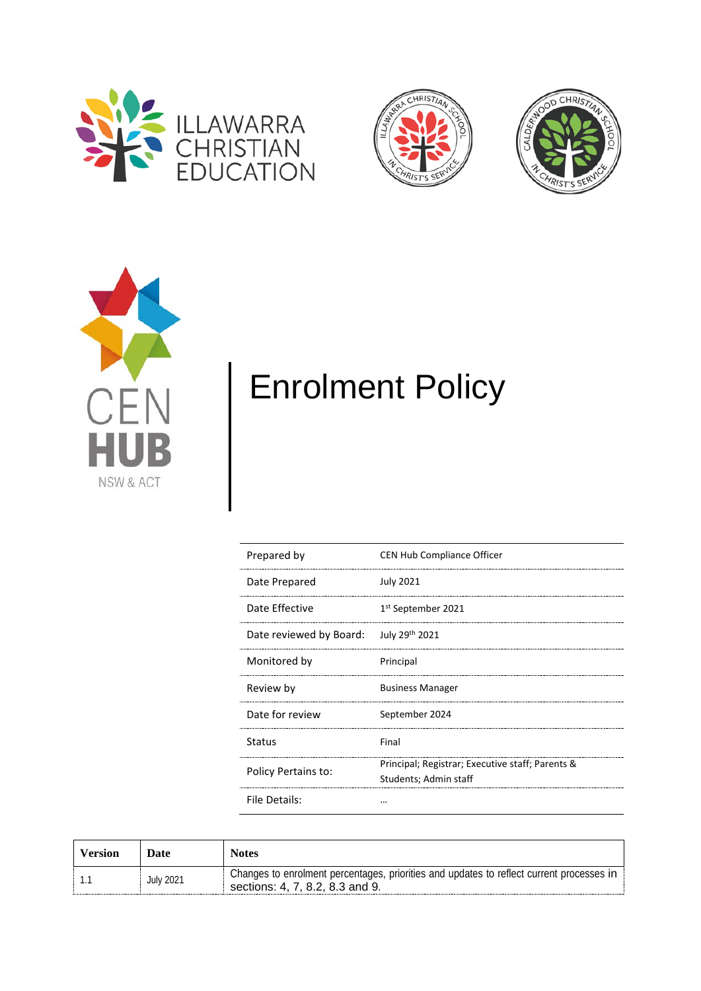







# Enrolment Policy

| Prepared by             | <b>CEN Hub Compliance Officer</b>                                         |
|-------------------------|---------------------------------------------------------------------------|
| Date Prepared           | July 2021                                                                 |
| Date Effective          | 1 <sup>st</sup> September 2021                                            |
| Date reviewed by Board: | July 29th 2021                                                            |
| Monitored by            | Principal                                                                 |
| Review by               | <b>Business Manager</b>                                                   |
| Date for review         | September 2024                                                            |
| Status                  | Final                                                                     |
| Policy Pertains to:     | Principal; Registrar; Executive staff; Parents &<br>Students; Admin staff |
| File Details:           |                                                                           |

| Version | Date             | Notes                                                                                                                       |
|---------|------------------|-----------------------------------------------------------------------------------------------------------------------------|
|         | <b>July 2021</b> | Changes to enrolment percentages, priorities and updates to reflect current processes in<br>sections: 4, 7, 8.2, 8.3 and 9. |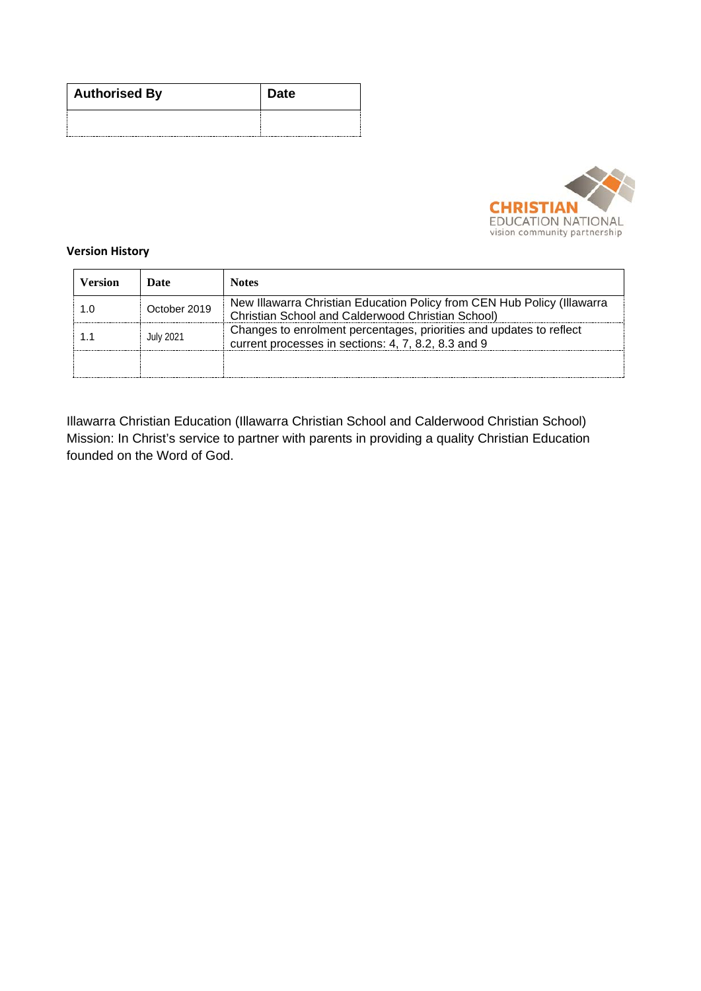| <b>Authorised By</b> | <b>Date</b> |  |  |
|----------------------|-------------|--|--|
|                      |             |  |  |



#### **Version History**

| Version | Date             | <b>Notes</b>                                                                                                                 |
|---------|------------------|------------------------------------------------------------------------------------------------------------------------------|
|         | October 2019     | New Illawarra Christian Education Policy from CEN Hub Policy (Illawarra<br>Christian School and Calderwood Christian School) |
|         | <b>July 2021</b> | Changes to enrolment percentages, priorities and updates to reflect<br>current processes in sections: 4, 7, 8.2, 8.3 and 9   |
|         |                  |                                                                                                                              |

Illawarra Christian Education (Illawarra Christian School and Calderwood Christian School) Mission: In Christ's service to partner with parents in providing a quality Christian Education founded on the Word of God.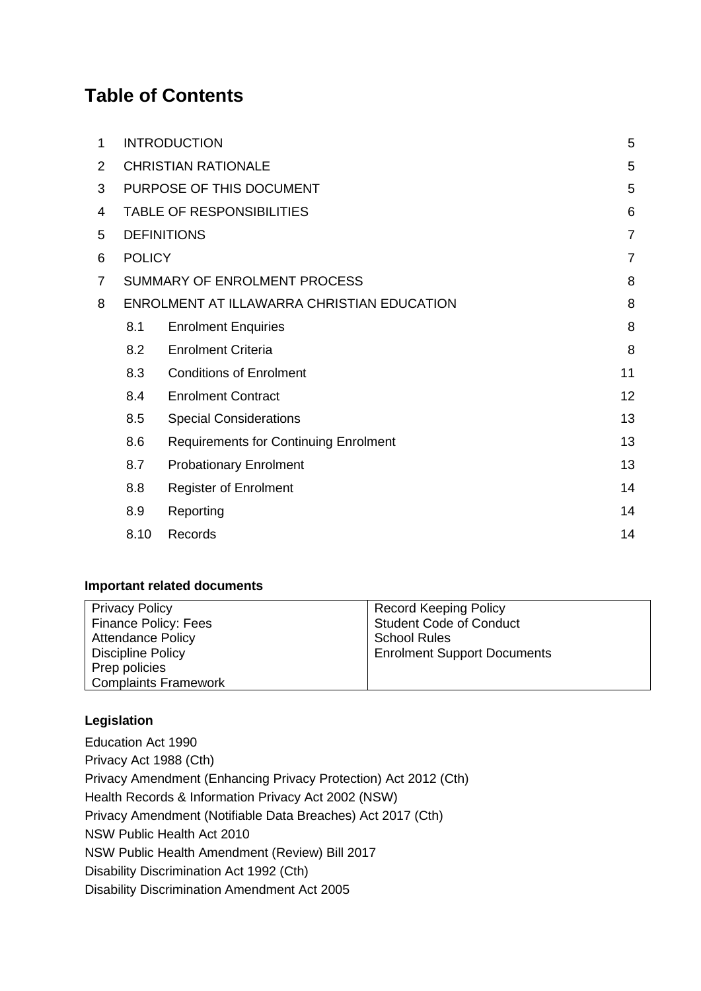# **Table of Contents**

| 1 |               | <b>INTRODUCTION</b>                          | 5              |
|---|---------------|----------------------------------------------|----------------|
| 2 |               | <b>CHRISTIAN RATIONALE</b>                   | 5              |
| 3 |               | PURPOSE OF THIS DOCUMENT                     | 5              |
| 4 |               | <b>TABLE OF RESPONSIBILITIES</b>             | 6              |
| 5 |               | <b>DEFINITIONS</b>                           | $\overline{7}$ |
| 6 | <b>POLICY</b> |                                              | $\overline{7}$ |
| 7 |               | SUMMARY OF ENROLMENT PROCESS                 | 8              |
| 8 |               | ENROLMENT AT ILLAWARRA CHRISTIAN EDUCATION   | 8              |
|   | 8.1           | <b>Enrolment Enquiries</b>                   | 8              |
|   | 8.2           | <b>Enrolment Criteria</b>                    | 8              |
|   | 8.3           | <b>Conditions of Enrolment</b>               | 11             |
|   | 8.4           | <b>Enrolment Contract</b>                    | 12             |
|   | 8.5           | <b>Special Considerations</b>                | 13             |
|   | 8.6           | <b>Requirements for Continuing Enrolment</b> | 13             |
|   | 8.7           | <b>Probationary Enrolment</b>                | 13             |
|   | 8.8           | <b>Register of Enrolment</b>                 | 14             |
|   | 8.9           | Reporting                                    | 14             |
|   | 8.10          | Records                                      | 14             |
|   |               |                                              |                |

# **Important related documents**

| <b>Privacy Policy</b>       | <b>Record Keeping Policy</b>       |
|-----------------------------|------------------------------------|
| <b>Finance Policy: Fees</b> | <b>Student Code of Conduct</b>     |
| <b>Attendance Policy</b>    | <b>School Rules</b>                |
| <b>Discipline Policy</b>    | <b>Enrolment Support Documents</b> |
| Prep policies               |                                    |
| <b>Complaints Framework</b> |                                    |

# **Legislation**

Education Act 1990 Privacy Act 1988 (Cth) Privacy Amendment (Enhancing Privacy Protection) Act 2012 (Cth) Health Records & Information Privacy Act 2002 (NSW) Privacy Amendment (Notifiable Data Breaches) Act 2017 (Cth) NSW Public Health Act 2010 NSW Public Health Amendment (Review) Bill 2017 Disability Discrimination Act 1992 (Cth) Disability Discrimination Amendment Act 2005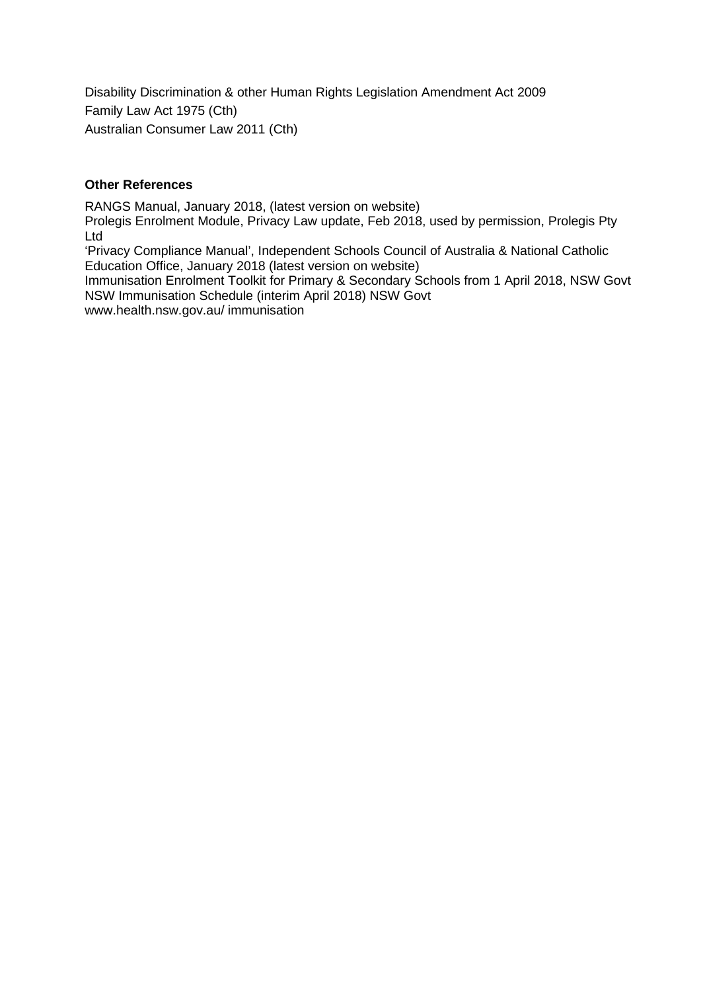Disability Discrimination & other Human Rights Legislation Amendment Act 2009 Family Law Act 1975 (Cth) Australian Consumer Law 2011 (Cth)

#### **Other References**

RANGS Manual, January 2018, (latest version on website)

Prolegis Enrolment Module, Privacy Law update, Feb 2018, used by permission, Prolegis Pty Ltd

'Privacy Compliance Manual', Independent Schools Council of Australia & National Catholic Education Office, January 2018 (latest version on website)

Immunisation Enrolment Toolkit for Primary & Secondary Schools from 1 April 2018, NSW Govt NSW Immunisation Schedule (interim April 2018) NSW Govt www.health.nsw.gov.au/ immunisation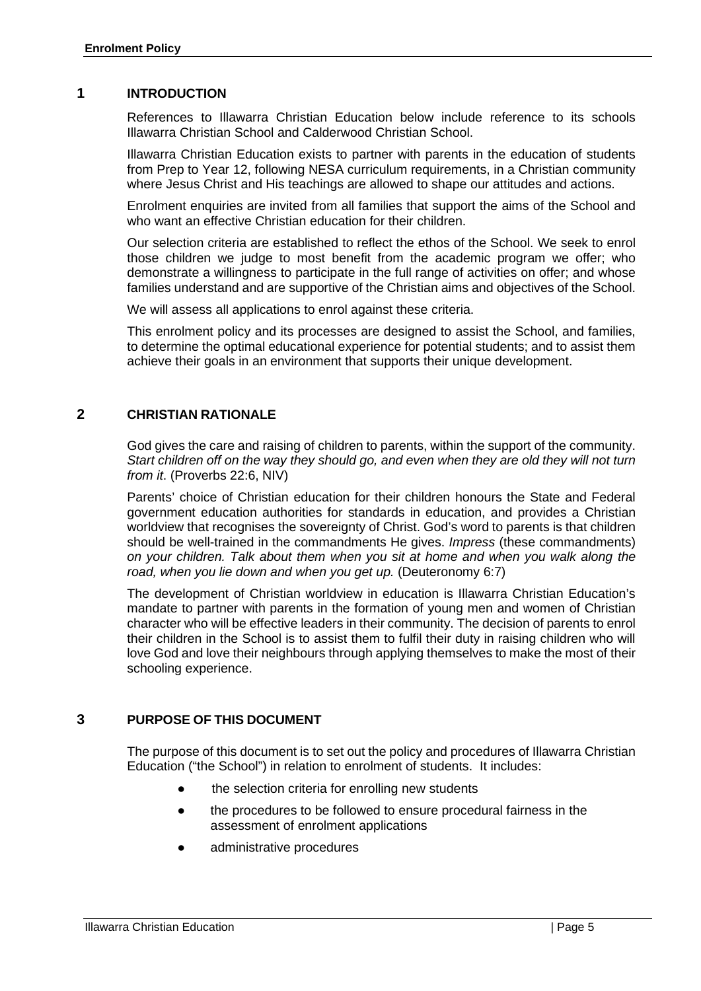#### <span id="page-4-0"></span>**1 INTRODUCTION**

References to Illawarra Christian Education below include reference to its schools Illawarra Christian School and Calderwood Christian School.

Illawarra Christian Education exists to partner with parents in the education of students from Prep to Year 12, following NESA curriculum requirements, in a Christian community where Jesus Christ and His teachings are allowed to shape our attitudes and actions.

Enrolment enquiries are invited from all families that support the aims of the School and who want an effective Christian education for their children.

Our selection criteria are established to reflect the ethos of the School. We seek to enrol those children we judge to most benefit from the academic program we offer; who demonstrate a willingness to participate in the full range of activities on offer; and whose families understand and are supportive of the Christian aims and objectives of the School.

We will assess all applications to enrol against these criteria.

This enrolment policy and its processes are designed to assist the School, and families, to determine the optimal educational experience for potential students; and to assist them achieve their goals in an environment that supports their unique development.

#### <span id="page-4-1"></span>**2 CHRISTIAN RATIONALE**

God gives the care and raising of children to parents, within the support of the community. *Start children off on the way they should go, and even when they are old they will not turn from it*. (Proverbs 22:6, NIV)

Parents' choice of Christian education for their children honours the State and Federal government education authorities for standards in education, and provides a Christian worldview that recognises the sovereignty of Christ. God's word to parents is that children should be well-trained in the commandments He gives. *Impress* (these commandments) *on your children. Talk about them when you sit at home and when you walk along the road, when you lie down and when you get up.* (Deuteronomy 6:7)

The development of Christian worldview in education is Illawarra Christian Education's mandate to partner with parents in the formation of young men and women of Christian character who will be effective leaders in their community. The decision of parents to enrol their children in the School is to assist them to fulfil their duty in raising children who will love God and love their neighbours through applying themselves to make the most of their schooling experience.

# <span id="page-4-2"></span>**3 PURPOSE OF THIS DOCUMENT**

The purpose of this document is to set out the policy and procedures of Illawarra Christian Education ("the School") in relation to enrolment of students. It includes:

- the selection criteria for enrolling new students
- the procedures to be followed to ensure procedural fairness in the assessment of enrolment applications
- administrative procedures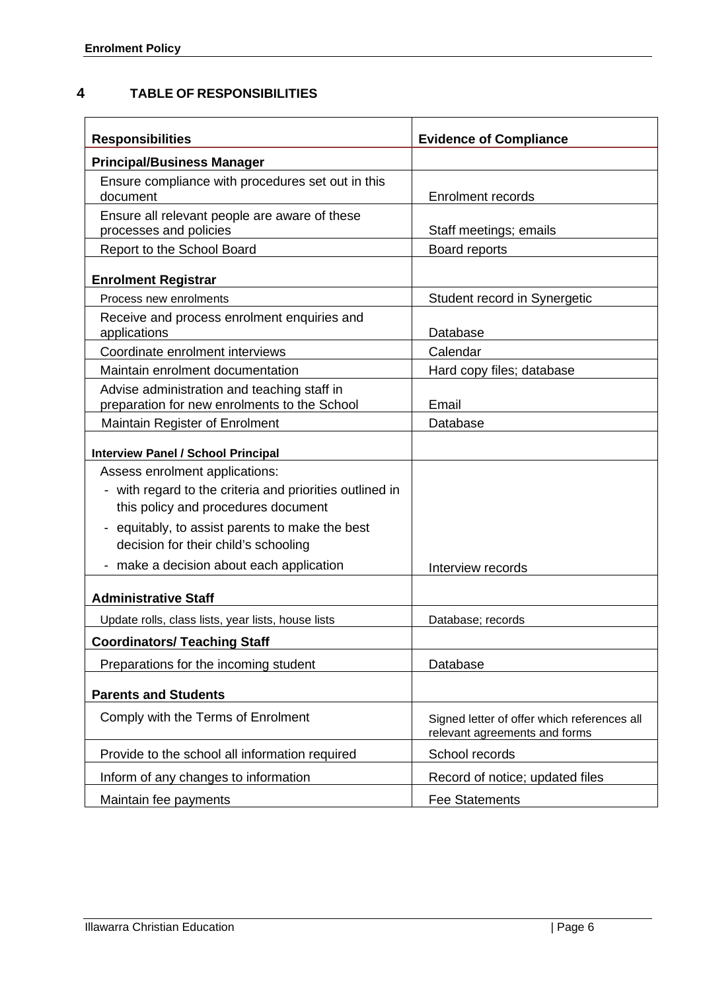# <span id="page-5-0"></span>**4 TABLE OF RESPONSIBILITIES**

| <b>Responsibilities</b>                                                                         | <b>Evidence of Compliance</b>                                                |  |
|-------------------------------------------------------------------------------------------------|------------------------------------------------------------------------------|--|
| <b>Principal/Business Manager</b>                                                               |                                                                              |  |
| Ensure compliance with procedures set out in this<br>document                                   | <b>Enrolment records</b>                                                     |  |
| Ensure all relevant people are aware of these<br>processes and policies                         | Staff meetings; emails                                                       |  |
| Report to the School Board                                                                      | Board reports                                                                |  |
| <b>Enrolment Registrar</b>                                                                      |                                                                              |  |
| Process new enrolments                                                                          | Student record in Synergetic                                                 |  |
| Receive and process enrolment enquiries and<br>applications                                     | Database                                                                     |  |
| Coordinate enrolment interviews                                                                 | Calendar                                                                     |  |
| Maintain enrolment documentation                                                                | Hard copy files; database                                                    |  |
| Advise administration and teaching staff in<br>preparation for new enrolments to the School     | Email                                                                        |  |
| <b>Maintain Register of Enrolment</b>                                                           | Database                                                                     |  |
| <b>Interview Panel / School Principal</b>                                                       |                                                                              |  |
| Assess enrolment applications:                                                                  |                                                                              |  |
| - with regard to the criteria and priorities outlined in<br>this policy and procedures document |                                                                              |  |
| - equitably, to assist parents to make the best<br>decision for their child's schooling         |                                                                              |  |
| - make a decision about each application                                                        | Interview records                                                            |  |
| <b>Administrative Staff</b>                                                                     |                                                                              |  |
| Update rolls, class lists, year lists, house lists                                              | Database; records                                                            |  |
| <b>Coordinators/ Teaching Staff</b>                                                             |                                                                              |  |
| Preparations for the incoming student                                                           | Database                                                                     |  |
| <b>Parents and Students</b>                                                                     |                                                                              |  |
| Comply with the Terms of Enrolment                                                              | Signed letter of offer which references all<br>relevant agreements and forms |  |
| Provide to the school all information required                                                  | School records                                                               |  |
| Inform of any changes to information                                                            | Record of notice; updated files                                              |  |
| Maintain fee payments                                                                           | <b>Fee Statements</b>                                                        |  |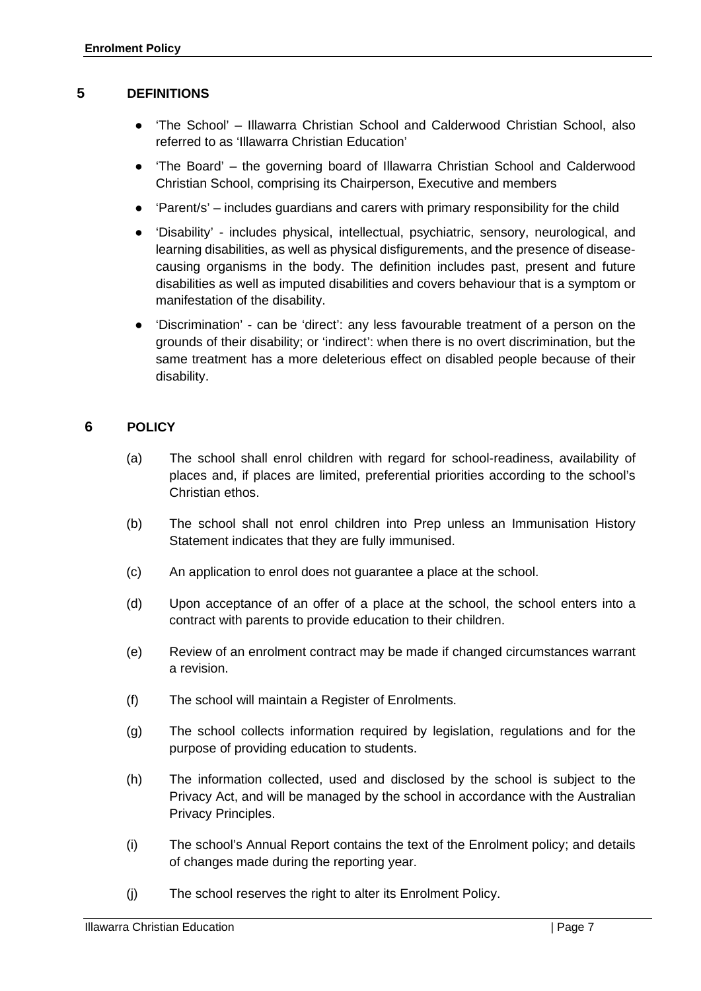#### <span id="page-6-0"></span>**5 DEFINITIONS**

- 'The School' Illawarra Christian School and Calderwood Christian School, also referred to as 'Illawarra Christian Education'
- 'The Board' the governing board of Illawarra Christian School and Calderwood Christian School, comprising its Chairperson, Executive and members
- 'Parent/s' includes guardians and carers with primary responsibility for the child
- 'Disability' includes physical, intellectual, psychiatric, sensory, neurological, and learning disabilities, as well as physical disfigurements, and the presence of diseasecausing organisms in the body. The definition includes past, present and future disabilities as well as imputed disabilities and covers behaviour that is a symptom or manifestation of the disability.
- 'Discrimination' can be 'direct': any less favourable treatment of a person on the grounds of their disability; or 'indirect': when there is no overt discrimination, but the same treatment has a more deleterious effect on disabled people because of their disability.

#### <span id="page-6-1"></span>**6 POLICY**

- (a) The school shall enrol children with regard for school-readiness, availability of places and, if places are limited, preferential priorities according to the school's Christian ethos.
- (b) The school shall not enrol children into Prep unless an Immunisation History Statement indicates that they are fully immunised.
- (c) An application to enrol does not guarantee a place at the school.
- (d) Upon acceptance of an offer of a place at the school, the school enters into a contract with parents to provide education to their children.
- (e) Review of an enrolment contract may be made if changed circumstances warrant a revision.
- (f) The school will maintain a Register of Enrolments.
- (g) The school collects information required by legislation, regulations and for the purpose of providing education to students.
- (h) The information collected, used and disclosed by the school is subject to the Privacy Act, and will be managed by the school in accordance with the Australian Privacy Principles.
- (i) The school's Annual Report contains the text of the Enrolment policy; and details of changes made during the reporting year.
- (j) The school reserves the right to alter its Enrolment Policy.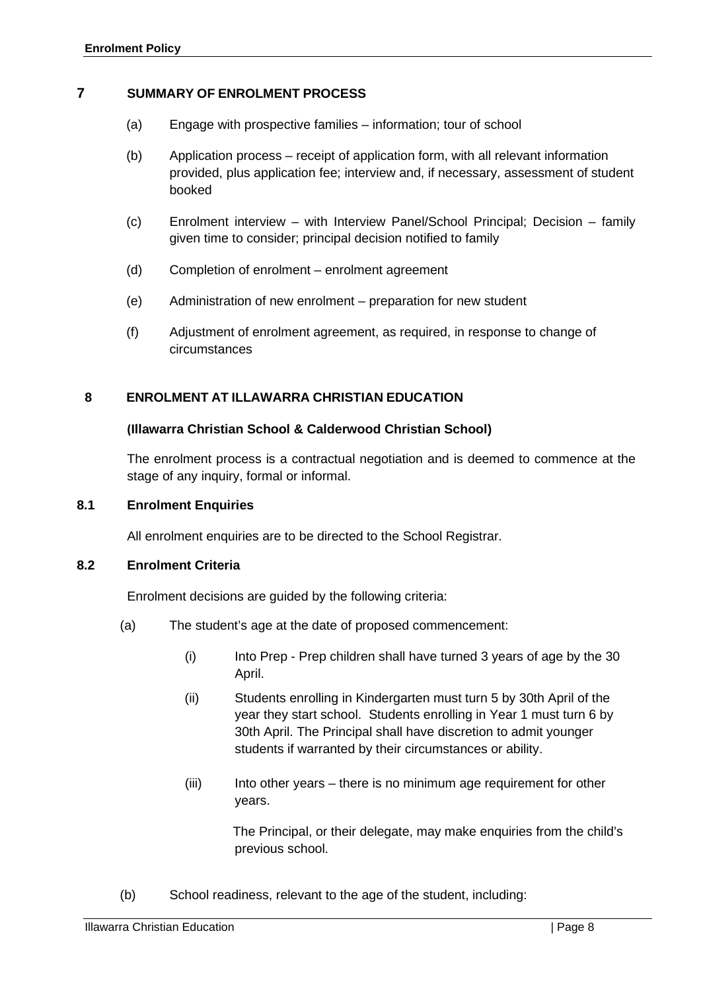#### <span id="page-7-0"></span>**7 SUMMARY OF ENROLMENT PROCESS**

- (a) Engage with prospective families information; tour of school
- (b) Application process receipt of application form, with all relevant information provided, plus application fee; interview and, if necessary, assessment of student booked
- (c) Enrolment interview with Interview Panel/School Principal; Decision family given time to consider; principal decision notified to family
- (d) Completion of enrolment enrolment agreement
- (e) Administration of new enrolment preparation for new student
- (f) Adjustment of enrolment agreement, as required, in response to change of circumstances

# <span id="page-7-1"></span>**8 ENROLMENT AT ILLAWARRA CHRISTIAN EDUCATION**

#### **(Illawarra Christian School & Calderwood Christian School)**

The enrolment process is a contractual negotiation and is deemed to commence at the stage of any inquiry, formal or informal.

#### **8.1 Enrolment Enquiries**

<span id="page-7-2"></span>All enrolment enquiries are to be directed to the School Registrar.

#### <span id="page-7-3"></span>**8.2 Enrolment Criteria**

Enrolment decisions are guided by the following criteria:

- (a) The student's age at the date of proposed commencement:
	- (i) Into Prep Prep children shall have turned 3 years of age by the 30 April.
	- (ii) Students enrolling in Kindergarten must turn 5 by 30th April of the year they start school. Students enrolling in Year 1 must turn 6 by 30th April. The Principal shall have discretion to admit younger students if warranted by their circumstances or ability.
	- (iii) Into other years there is no minimum age requirement for other years.

The Principal, or their delegate, may make enquiries from the child's previous school.

(b) School readiness, relevant to the age of the student, including: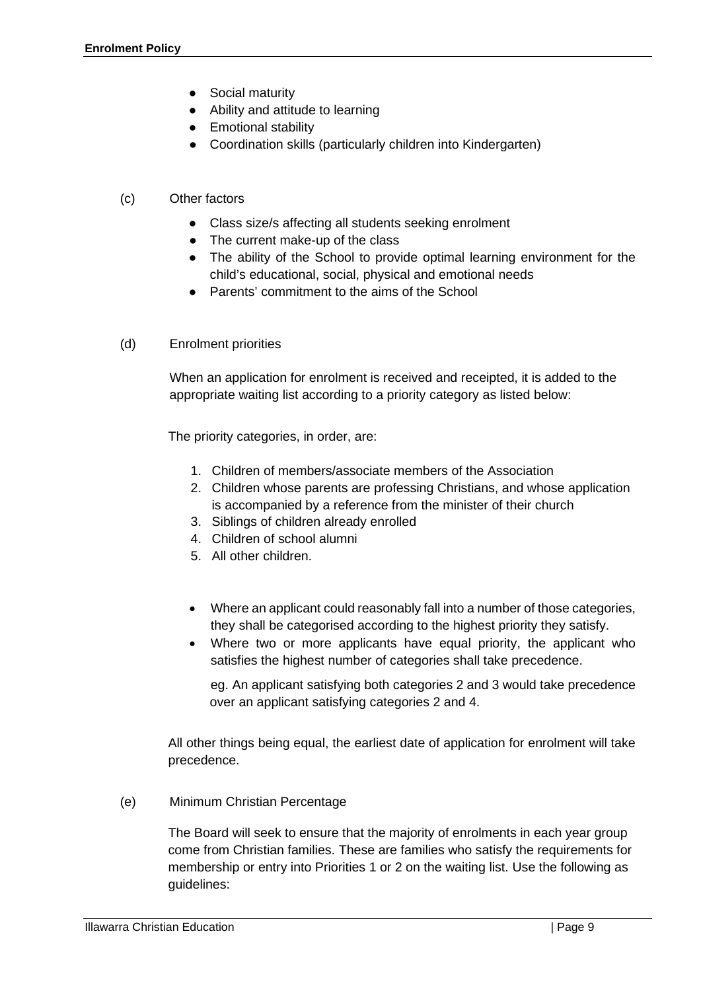- Social maturity
- Ability and attitude to learning
- Emotional stability
- Coordination skills (particularly children into Kindergarten)

# (c) Other factors

- Class size/s affecting all students seeking enrolment
- The current make-up of the class
- The ability of the School to provide optimal learning environment for the child's educational, social, physical and emotional needs
- Parents' commitment to the aims of the School
- (d) Enrolment priorities

When an application for enrolment is received and receipted, it is added to the appropriate waiting list according to a priority category as listed below:

The priority categories, in order, are:

- 1. Children of members/associate members of the Association
- 2. Children whose parents are professing Christians, and whose application is accompanied by a reference from the minister of their church
- 3. Siblings of children already enrolled
- 4. Children of school alumni
- 5. All other children.
- Where an applicant could reasonably fall into a number of those categories, they shall be categorised according to the highest priority they satisfy.
- Where two or more applicants have equal priority, the applicant who satisfies the highest number of categories shall take precedence.

eg. An applicant satisfying both categories 2 and 3 would take precedence over an applicant satisfying categories 2 and 4.

All other things being equal, the earliest date of application for enrolment will take precedence.

(e) Minimum Christian Percentage

The Board will seek to ensure that the majority of enrolments in each year group come from Christian families. These are families who satisfy the requirements for membership or entry into Priorities 1 or 2 on the waiting list. Use the following as guidelines: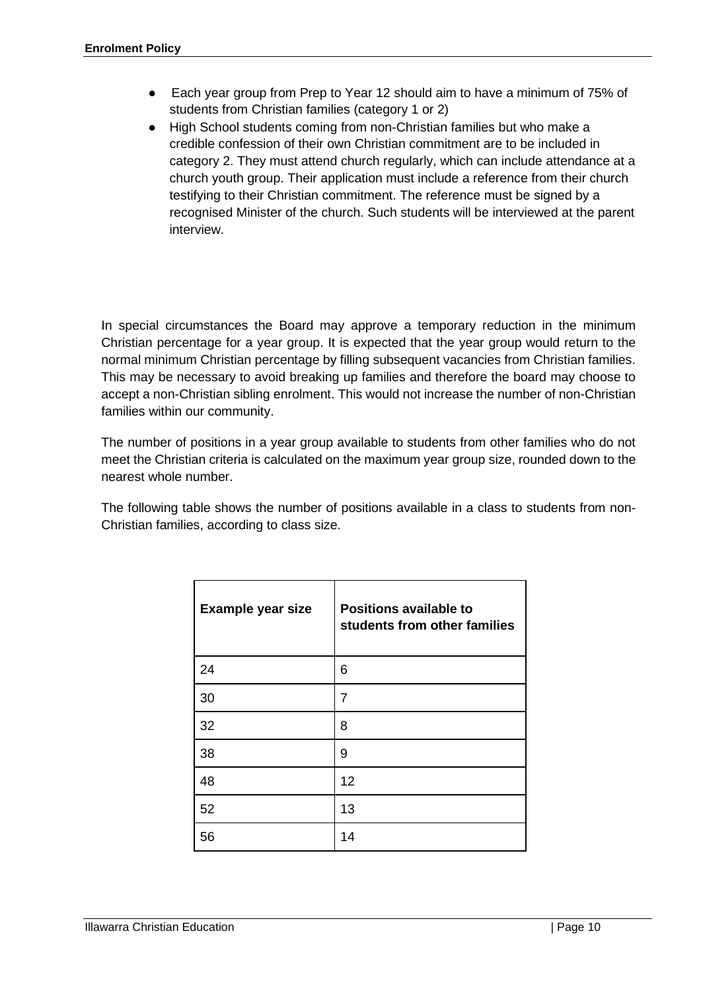- Each year group from Prep to Year 12 should aim to have a minimum of 75% of students from Christian families (category 1 or 2)
- High School students coming from non-Christian families but who make a credible confession of their own Christian commitment are to be included in category 2. They must attend church regularly, which can include attendance at a church youth group. Their application must include a reference from their church testifying to their Christian commitment. The reference must be signed by a recognised Minister of the church. Such students will be interviewed at the parent interview.

In special circumstances the Board may approve a temporary reduction in the minimum Christian percentage for a year group. It is expected that the year group would return to the normal minimum Christian percentage by filling subsequent vacancies from Christian families. This may be necessary to avoid breaking up families and therefore the board may choose to accept a non-Christian sibling enrolment. This would not increase the number of non-Christian families within our community.

The number of positions in a year group available to students from other families who do not meet the Christian criteria is calculated on the maximum year group size, rounded down to the nearest whole number.

The following table shows the number of positions available in a class to students from non-Christian families, according to class size.

| <b>Example year size</b> | <b>Positions available to</b><br>students from other families |
|--------------------------|---------------------------------------------------------------|
| 24                       | 6                                                             |
| 30                       | 7                                                             |
| 32                       | 8                                                             |
| 38                       | 9                                                             |
| 48                       | 12                                                            |
| 52                       | 13                                                            |
| 56                       | 14                                                            |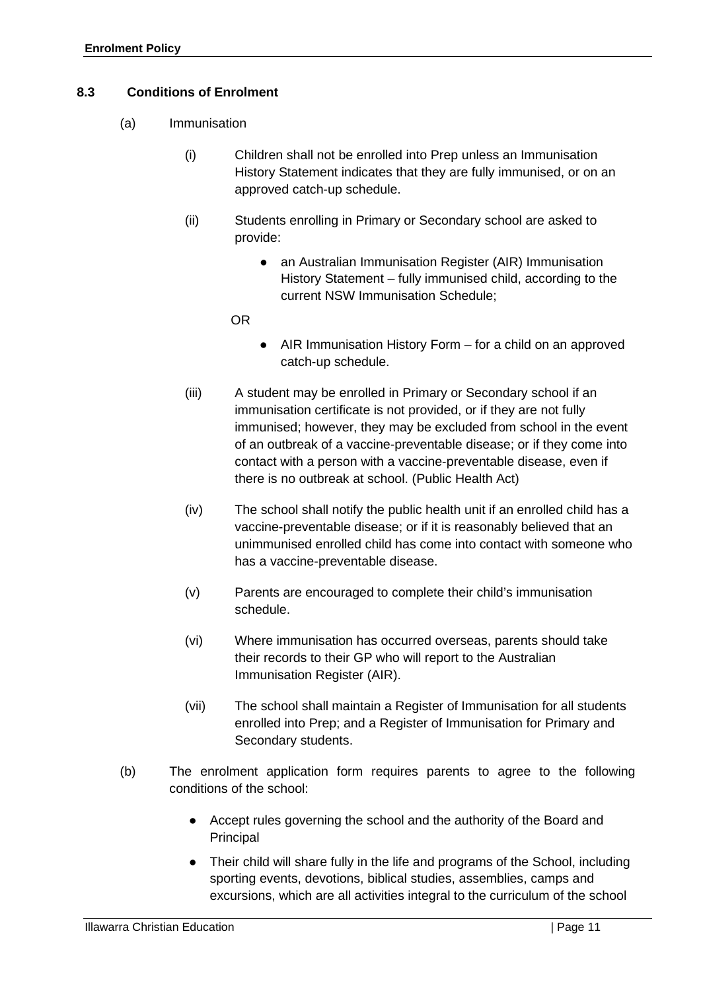#### <span id="page-10-0"></span>**8.3 Conditions of Enrolment**

- (a) Immunisation
	- (i) Children shall not be enrolled into Prep unless an Immunisation History Statement indicates that they are fully immunised, or on an approved catch-up schedule.
	- (ii) Students enrolling in Primary or Secondary school are asked to provide:
		- an Australian Immunisation Register (AIR) Immunisation History Statement – fully immunised child, according to the current NSW Immunisation Schedule;
		- OR
- AIR Immunisation History Form for a child on an approved catch-up schedule.
- (iii) A student may be enrolled in Primary or Secondary school if an immunisation certificate is not provided, or if they are not fully immunised; however, they may be excluded from school in the event of an outbreak of a vaccine-preventable disease; or if they come into contact with a person with a vaccine-preventable disease, even if there is no outbreak at school. (Public Health Act)
- (iv) The school shall notify the public health unit if an enrolled child has a vaccine-preventable disease; or if it is reasonably believed that an unimmunised enrolled child has come into contact with someone who has a vaccine-preventable disease.
- (v) Parents are encouraged to complete their child's immunisation schedule.
- (vi) Where immunisation has occurred overseas, parents should take their records to their GP who will report to the Australian Immunisation Register (AIR).
- (vii) The school shall maintain a Register of Immunisation for all students enrolled into Prep; and a Register of Immunisation for Primary and Secondary students.
- (b) The enrolment application form requires parents to agree to the following conditions of the school:
	- Accept rules governing the school and the authority of the Board and Principal
	- Their child will share fully in the life and programs of the School, including sporting events, devotions, biblical studies, assemblies, camps and excursions, which are all activities integral to the curriculum of the school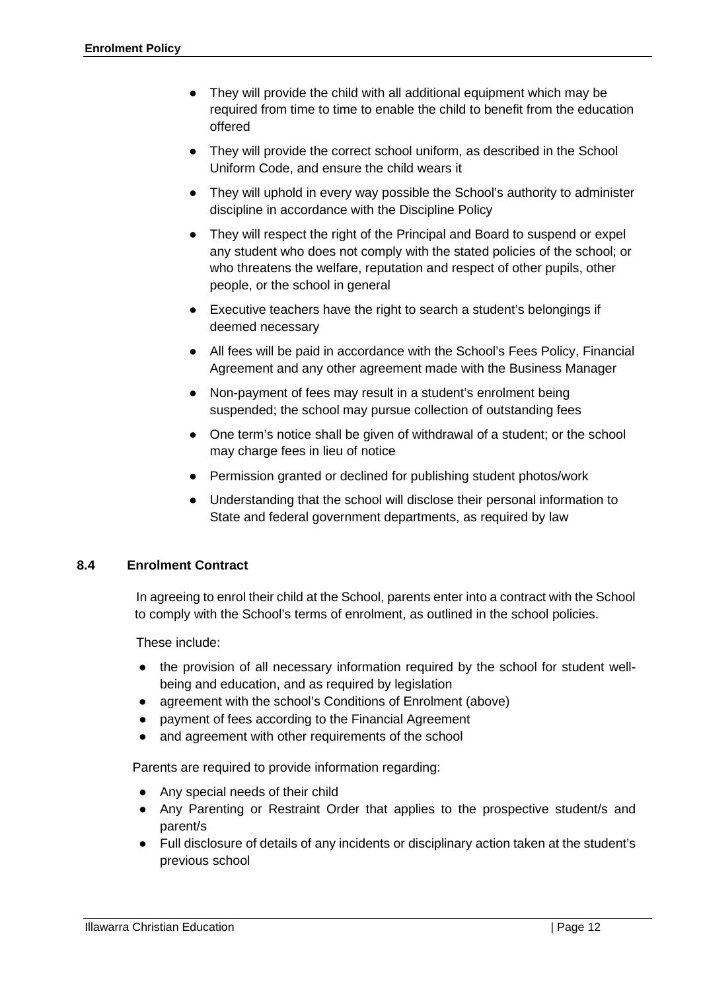- They will provide the child with all additional equipment which may be required from time to time to enable the child to benefit from the education offered
- They will provide the correct school uniform, as described in the School Uniform Code, and ensure the child wears it
- They will uphold in every way possible the School's authority to administer discipline in accordance with the Discipline Policy
- They will respect the right of the Principal and Board to suspend or expel any student who does not comply with the stated policies of the school; or who threatens the welfare, reputation and respect of other pupils, other people, or the school in general
- Executive teachers have the right to search a student's belongings if deemed necessary
- All fees will be paid in accordance with the School's Fees Policy, Financial Agreement and any other agreement made with the Business Manager
- Non-payment of fees may result in a student's enrolment being suspended; the school may pursue collection of outstanding fees
- One term's notice shall be given of withdrawal of a student; or the school may charge fees in lieu of notice
- Permission granted or declined for publishing student photos/work
- Understanding that the school will disclose their personal information to State and federal government departments, as required by law

#### <span id="page-11-0"></span>**8.4 Enrolment Contract**

In agreeing to enrol their child at the School, parents enter into a contract with the School to comply with the School's terms of enrolment, as outlined in the school policies.

These include:

- the provision of all necessary information required by the school for student wellbeing and education, and as required by legislation
- agreement with the school's Conditions of Enrolment (above)
- payment of fees according to the Financial Agreement
- and agreement with other requirements of the school

Parents are required to provide information regarding:

- Any special needs of their child
- Any Parenting or Restraint Order that applies to the prospective student/s and parent/s
- Full disclosure of details of any incidents or disciplinary action taken at the student's previous school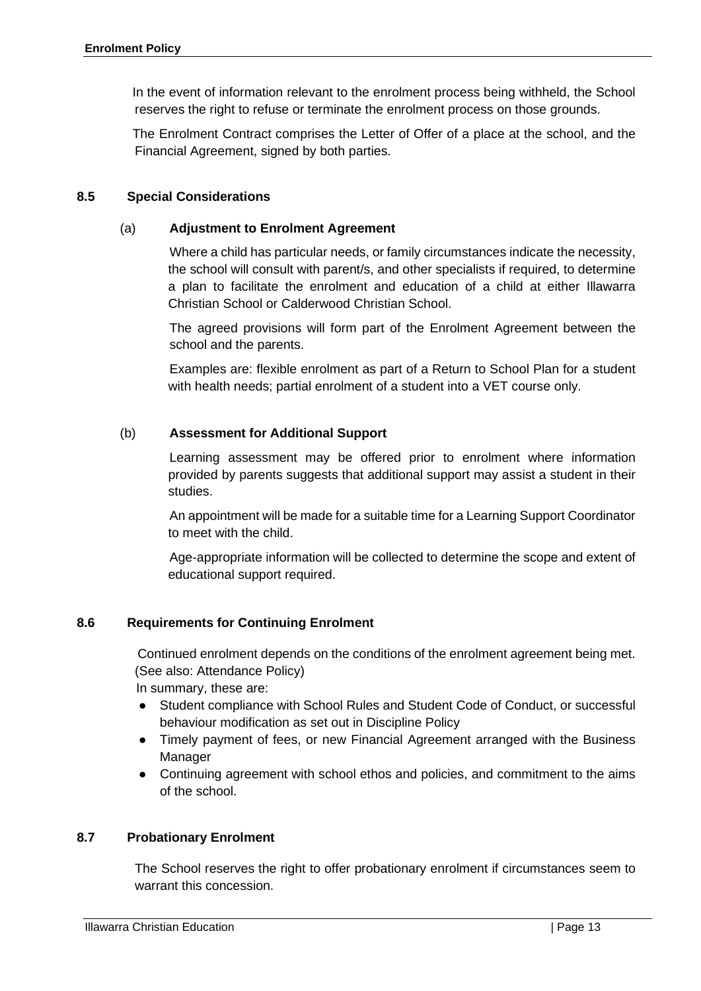In the event of information relevant to the enrolment process being withheld, the School reserves the right to refuse or terminate the enrolment process on those grounds.

The Enrolment Contract comprises the Letter of Offer of a place at the school, and the Financial Agreement, signed by both parties.

#### <span id="page-12-0"></span>**8.5 Special Considerations**

#### (a) **Adjustment to Enrolment Agreement**

Where a child has particular needs, or family circumstances indicate the necessity, the school will consult with parent/s, and other specialists if required, to determine a plan to facilitate the enrolment and education of a child at either Illawarra Christian School or Calderwood Christian School.

The agreed provisions will form part of the Enrolment Agreement between the school and the parents.

Examples are: flexible enrolment as part of a Return to School Plan for a student with health needs; partial enrolment of a student into a VET course only.

#### (b) **Assessment for Additional Support**

Learning assessment may be offered prior to enrolment where information provided by parents suggests that additional support may assist a student in their studies.

An appointment will be made for a suitable time for a Learning Support Coordinator to meet with the child.

Age-appropriate information will be collected to determine the scope and extent of educational support required.

#### <span id="page-12-1"></span>**8.6 Requirements for Continuing Enrolment**

Continued enrolment depends on the conditions of the enrolment agreement being met. (See also: Attendance Policy)

In summary, these are:

- Student compliance with School Rules and Student Code of Conduct, or successful behaviour modification as set out in Discipline Policy
- Timely payment of fees, or new Financial Agreement arranged with the Business Manager
- Continuing agreement with school ethos and policies, and commitment to the aims of the school.

#### <span id="page-12-2"></span>**8.7 Probationary Enrolment**

The School reserves the right to offer probationary enrolment if circumstances seem to warrant this concession.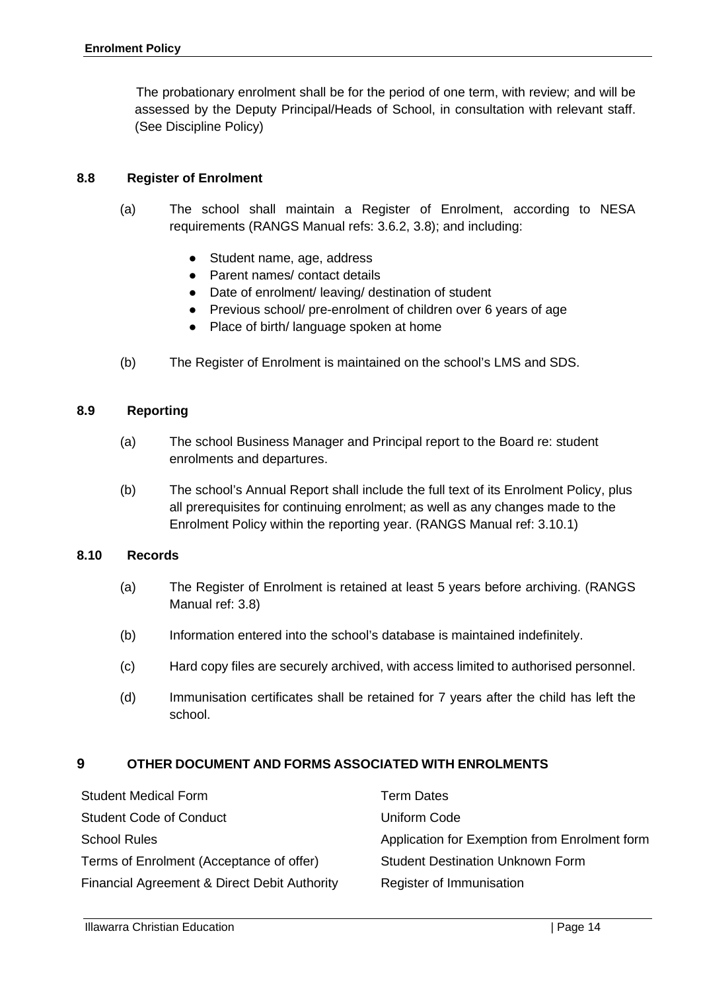The probationary enrolment shall be for the period of one term, with review; and will be assessed by the Deputy Principal/Heads of School, in consultation with relevant staff. (See Discipline Policy)

#### <span id="page-13-0"></span>**8.8 Register of Enrolment**

- (a) The school shall maintain a Register of Enrolment, according to NESA requirements (RANGS Manual refs: 3.6.2, 3.8); and including:
	- Student name, age, address
	- Parent names/ contact details
	- Date of enrolment/ leaving/ destination of student
	- Previous school/ pre-enrolment of children over 6 years of age
	- Place of birth/ language spoken at home
- (b) The Register of Enrolment is maintained on the school's LMS and SDS.

#### <span id="page-13-1"></span>**8.9 Reporting**

- (a) The school Business Manager and Principal report to the Board re: student enrolments and departures.
- (b) The school's Annual Report shall include the full text of its Enrolment Policy, plus all prerequisites for continuing enrolment; as well as any changes made to the Enrolment Policy within the reporting year. (RANGS Manual ref: 3.10.1)

#### <span id="page-13-2"></span>**8.10 Records**

- (a) The Register of Enrolment is retained at least 5 years before archiving. (RANGS Manual ref: 3.8)
- (b) Information entered into the school's database is maintained indefinitely.
- (c) Hard copy files are securely archived, with access limited to authorised personnel.
- (d) Immunisation certificates shall be retained for 7 years after the child has left the school.

#### **9 OTHER DOCUMENT AND FORMS ASSOCIATED WITH ENROLMENTS**

| <b>Student Medical Form</b>                  | Term Dates                                    |
|----------------------------------------------|-----------------------------------------------|
| <b>Student Code of Conduct</b>               | Uniform Code                                  |
| <b>School Rules</b>                          | Application for Exemption from Enrolment form |
| Terms of Enrolment (Acceptance of offer)     | <b>Student Destination Unknown Form</b>       |
| Financial Agreement & Direct Debit Authority | Register of Immunisation                      |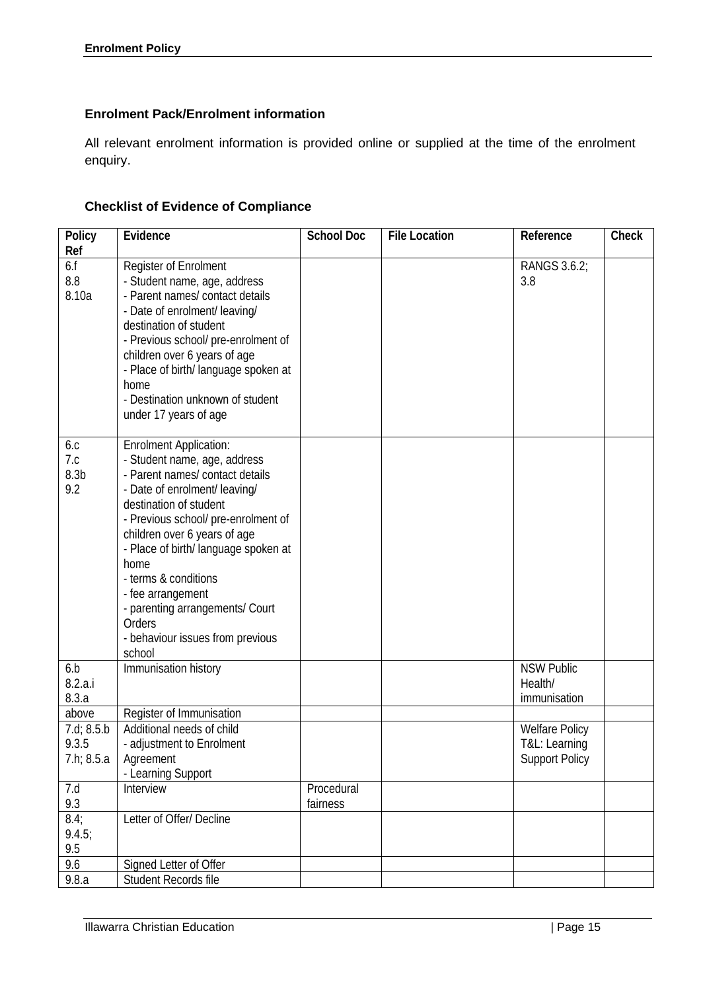# **Enrolment Pack/Enrolment information**

All relevant enrolment information is provided online or supplied at the time of the enrolment enquiry.

# **Checklist of Evidence of Compliance**

| Policy                                | Evidence                                                                                                                                                                                                                                                                                                                                                                                                                   | <b>School Doc</b>      | <b>File Location</b> | Reference                                                       | Check |
|---------------------------------------|----------------------------------------------------------------------------------------------------------------------------------------------------------------------------------------------------------------------------------------------------------------------------------------------------------------------------------------------------------------------------------------------------------------------------|------------------------|----------------------|-----------------------------------------------------------------|-------|
| Ref                                   |                                                                                                                                                                                                                                                                                                                                                                                                                            |                        |                      |                                                                 |       |
| 6.f<br>8.8<br>8.10a                   | Register of Enrolment<br>- Student name, age, address<br>- Parent names/ contact details<br>- Date of enrolment/ leaving/<br>destination of student<br>- Previous school/ pre-enrolment of<br>children over 6 years of age<br>- Place of birth/ language spoken at<br>home<br>- Destination unknown of student<br>under 17 years of age                                                                                    |                        |                      | RANGS 3.6.2;<br>3.8                                             |       |
| 6.c<br>7.c<br>8.3 <sub>b</sub><br>9.2 | <b>Enrolment Application:</b><br>- Student name, age, address<br>- Parent names/ contact details<br>- Date of enrolment/ leaving/<br>destination of student<br>- Previous school/ pre-enrolment of<br>children over 6 years of age<br>- Place of birth/ language spoken at<br>home<br>- terms & conditions<br>- fee arrangement<br>- parenting arrangements/ Court<br>Orders<br>- behaviour issues from previous<br>school |                        |                      |                                                                 |       |
| 6.b<br>8.2.a.i<br>8.3.a               | Immunisation history                                                                                                                                                                                                                                                                                                                                                                                                       |                        |                      | <b>NSW Public</b><br>Health/<br>immunisation                    |       |
| above                                 | Register of Immunisation                                                                                                                                                                                                                                                                                                                                                                                                   |                        |                      |                                                                 |       |
| 7.d; 8.5.b<br>9.3.5<br>7.h; 8.5.a     | Additional needs of child<br>- adjustment to Enrolment<br>Agreement<br>- Learning Support                                                                                                                                                                                                                                                                                                                                  |                        |                      | <b>Welfare Policy</b><br>T&L: Learning<br><b>Support Policy</b> |       |
| 7.d<br>9.3                            | Interview                                                                                                                                                                                                                                                                                                                                                                                                                  | Procedural<br>fairness |                      |                                                                 |       |
| 8.4;<br>9.4.5;<br>9.5                 | Letter of Offer/ Decline                                                                                                                                                                                                                                                                                                                                                                                                   |                        |                      |                                                                 |       |
| 9.6                                   | Signed Letter of Offer                                                                                                                                                                                                                                                                                                                                                                                                     |                        |                      |                                                                 |       |
| 9.8.a                                 | Student Records file                                                                                                                                                                                                                                                                                                                                                                                                       |                        |                      |                                                                 |       |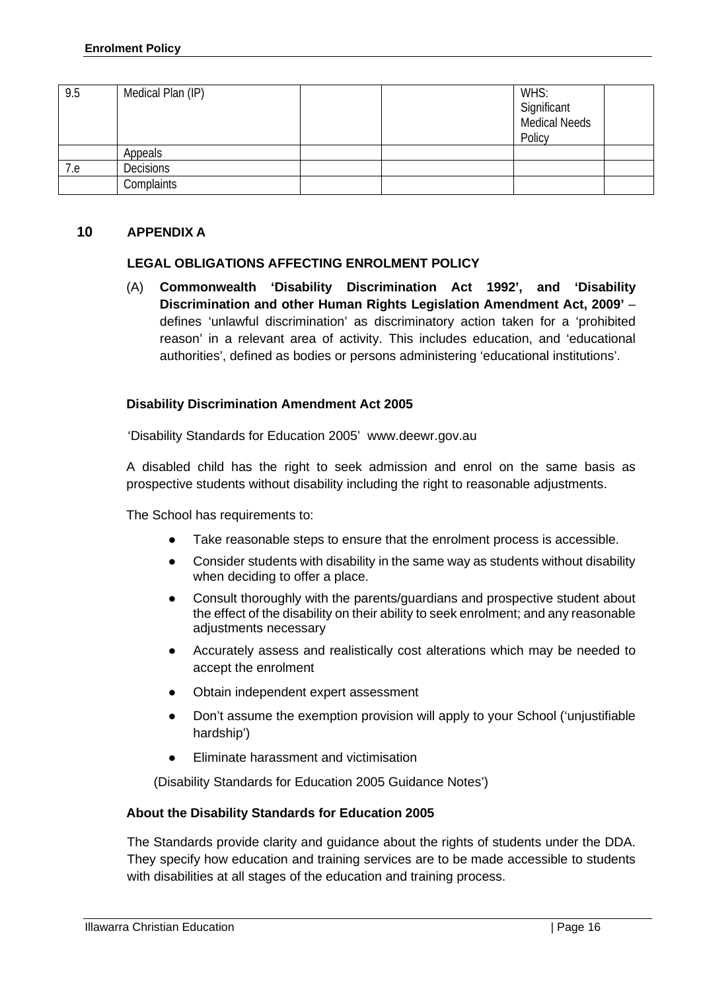| 9.5 | Medical Plan (IP) |  | WHS:<br>Significant<br>Medical Needs<br>Policy |  |
|-----|-------------------|--|------------------------------------------------|--|
|     | Appeals           |  |                                                |  |
| 7.e | <b>Decisions</b>  |  |                                                |  |
|     | Complaints        |  |                                                |  |

#### **10 APPENDIX A**

#### **LEGAL OBLIGATIONS AFFECTING ENROLMENT POLICY**

(A) **Commonwealth 'Disability Discrimination Act 1992', and 'Disability Discrimination and other Human Rights Legislation Amendment Act, 2009'** – defines 'unlawful discrimination' as discriminatory action taken for a 'prohibited reason' in a relevant area of activity. This includes education, and 'educational authorities', defined as bodies or persons administering 'educational institutions'.

#### **Disability Discrimination Amendment Act 2005**

'Disability Standards for Education 2005' www.deewr.gov.au

A disabled child has the right to seek admission and enrol on the same basis as prospective students without disability including the right to reasonable adjustments.

The School has requirements to:

- Take reasonable steps to ensure that the enrolment process is accessible.
- Consider students with disability in the same way as students without disability when deciding to offer a place.
- Consult thoroughly with the parents/guardians and prospective student about the effect of the disability on their ability to seek enrolment; and any reasonable adjustments necessary
- Accurately assess and realistically cost alterations which may be needed to accept the enrolment
- Obtain independent expert assessment
- Don't assume the exemption provision will apply to your School ('unjustifiable hardship')
- **Eliminate harassment and victimisation**

(Disability Standards for Education 2005 Guidance Notes')

#### **About the Disability Standards for Education 2005**

The Standards provide clarity and guidance about the rights of students under the DDA. They specify how education and training services are to be made accessible to students with disabilities at all stages of the education and training process.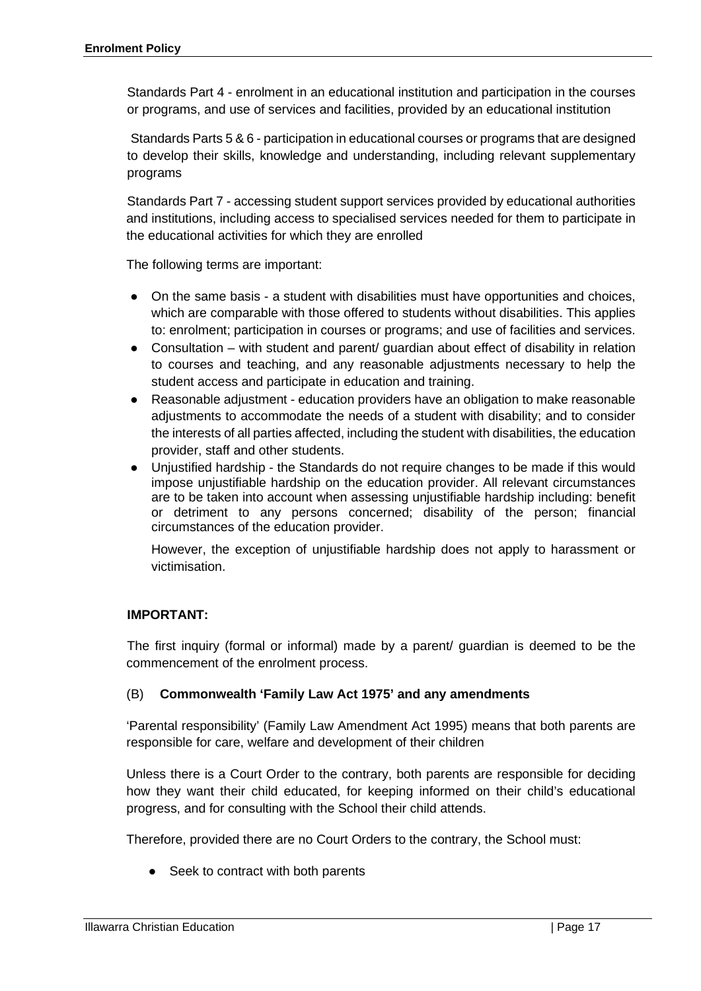Standards Part 4 - enrolment in an educational institution and participation in the courses or programs, and use of services and facilities, provided by an educational institution

Standards Parts 5 & 6 - participation in educational courses or programs that are designed to develop their skills, knowledge and understanding, including relevant supplementary programs

Standards Part 7 - accessing student support services provided by educational authorities and institutions, including access to specialised services needed for them to participate in the educational activities for which they are enrolled

The following terms are important:

- On the same basis a student with disabilities must have opportunities and choices, which are comparable with those offered to students without disabilities. This applies to: enrolment; participation in courses or programs; and use of facilities and services.
- Consultation with student and parent/ guardian about effect of disability in relation to courses and teaching, and any reasonable adjustments necessary to help the student access and participate in education and training.
- Reasonable adjustment education providers have an obligation to make reasonable adjustments to accommodate the needs of a student with disability; and to consider the interests of all parties affected, including the student with disabilities, the education provider, staff and other students.
- Unjustified hardship the Standards do not require changes to be made if this would impose unjustifiable hardship on the education provider. All relevant circumstances are to be taken into account when assessing unjustifiable hardship including: benefit or detriment to any persons concerned; disability of the person; financial circumstances of the education provider.

However, the exception of unjustifiable hardship does not apply to harassment or victimisation.

#### **IMPORTANT:**

The first inquiry (formal or informal) made by a parent/ guardian is deemed to be the commencement of the enrolment process.

#### (B) **Commonwealth 'Family Law Act 1975' and any amendments**

'Parental responsibility' (Family Law Amendment Act 1995) means that both parents are responsible for care, welfare and development of their children

Unless there is a Court Order to the contrary, both parents are responsible for deciding how they want their child educated, for keeping informed on their child's educational progress, and for consulting with the School their child attends.

Therefore, provided there are no Court Orders to the contrary, the School must:

● Seek to contract with both parents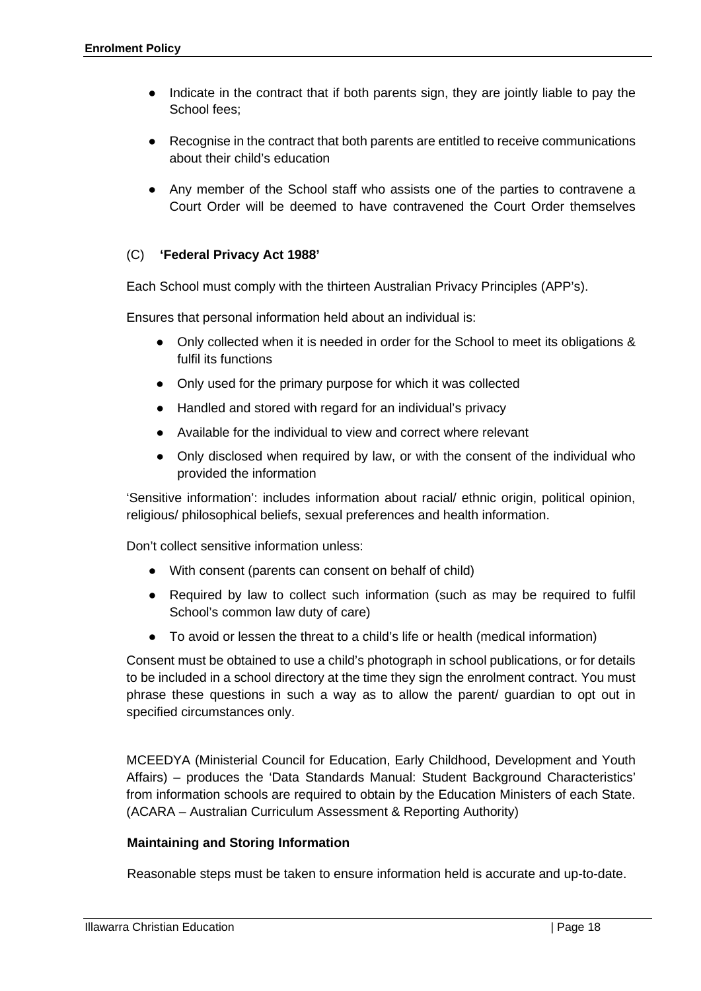- Indicate in the contract that if both parents sign, they are jointly liable to pay the School fees;
- Recognise in the contract that both parents are entitled to receive communications about their child's education
- Any member of the School staff who assists one of the parties to contravene a Court Order will be deemed to have contravened the Court Order themselves

#### (C) **'Federal Privacy Act 1988'**

Each School must comply with the thirteen Australian Privacy Principles (APP's).

Ensures that personal information held about an individual is:

- Only collected when it is needed in order for the School to meet its obligations & fulfil its functions
- Only used for the primary purpose for which it was collected
- Handled and stored with regard for an individual's privacy
- Available for the individual to view and correct where relevant
- Only disclosed when required by law, or with the consent of the individual who provided the information

'Sensitive information': includes information about racial/ ethnic origin, political opinion, religious/ philosophical beliefs, sexual preferences and health information.

Don't collect sensitive information unless:

- With consent (parents can consent on behalf of child)
- Required by law to collect such information (such as may be required to fulfil School's common law duty of care)
- To avoid or lessen the threat to a child's life or health (medical information)

Consent must be obtained to use a child's photograph in school publications, or for details to be included in a school directory at the time they sign the enrolment contract. You must phrase these questions in such a way as to allow the parent/ guardian to opt out in specified circumstances only.

MCEEDYA (Ministerial Council for Education, Early Childhood, Development and Youth Affairs) – produces the 'Data Standards Manual: Student Background Characteristics' from information schools are required to obtain by the Education Ministers of each State. (ACARA – Australian Curriculum Assessment & Reporting Authority)

#### **Maintaining and Storing Information**

Reasonable steps must be taken to ensure information held is accurate and up-to-date.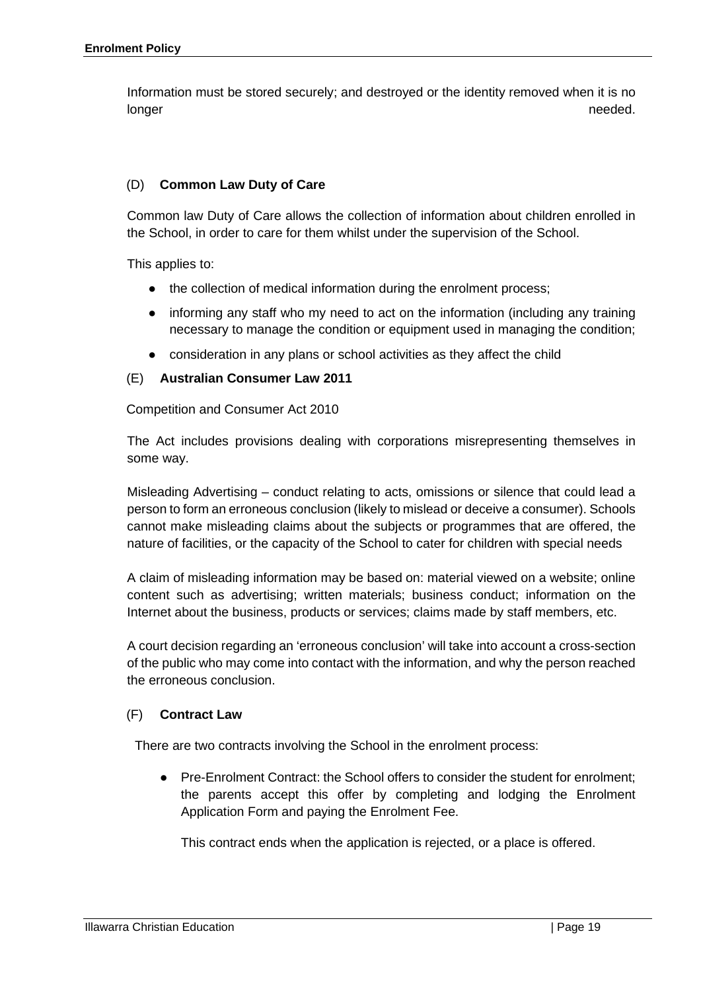Information must be stored securely; and destroyed or the identity removed when it is no longer and the control of the control of the control of the control of the control of the control of the control of the control of the control of the control of the control of the control of the control of the control of t

#### (D) **Common Law Duty of Care**

Common law Duty of Care allows the collection of information about children enrolled in the School, in order to care for them whilst under the supervision of the School.

This applies to:

- the collection of medical information during the enrolment process;
- informing any staff who my need to act on the information (including any training necessary to manage the condition or equipment used in managing the condition;
- consideration in any plans or school activities as they affect the child

#### (E) **Australian Consumer Law 2011**

Competition and Consumer Act 2010

The Act includes provisions dealing with corporations misrepresenting themselves in some way.

Misleading Advertising – conduct relating to acts, omissions or silence that could lead a person to form an erroneous conclusion (likely to mislead or deceive a consumer). Schools cannot make misleading claims about the subjects or programmes that are offered, the nature of facilities, or the capacity of the School to cater for children with special needs

A claim of misleading information may be based on: material viewed on a website; online content such as advertising; written materials; business conduct; information on the Internet about the business, products or services; claims made by staff members, etc.

A court decision regarding an 'erroneous conclusion' will take into account a cross-section of the public who may come into contact with the information, and why the person reached the erroneous conclusion.

#### (F) **Contract Law**

There are two contracts involving the School in the enrolment process:

● Pre-Enrolment Contract: the School offers to consider the student for enrolment; the parents accept this offer by completing and lodging the Enrolment Application Form and paying the Enrolment Fee.

This contract ends when the application is rejected, or a place is offered.